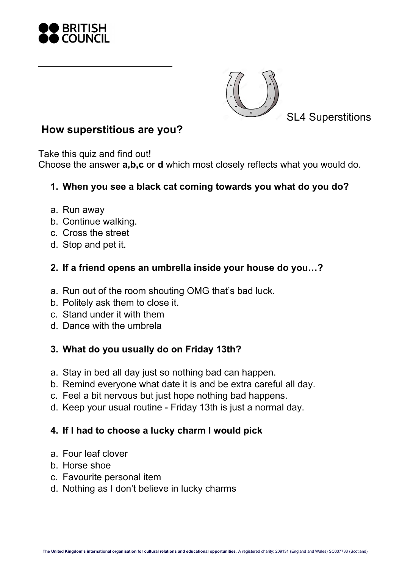



SL4 Superstitions

## **How superstitious are you?**

Take this quiz and find out!

Choose the answer **a,b,c** or **d** which most closely reflects what you would do.

## **1. When you see a black cat coming towards you what do you do?**

- a. Run away
- b. Continue walking.
- c. Cross the street
- d. Stop and pet it.

## **2. If a friend opens an umbrella inside your house do you…?**

- a. Run out of the room shouting OMG that's bad luck.
- b. Politely ask them to close it.
- c. Stand under it with them
- d. Dance with the umbrela

# **3. What do you usually do on Friday 13th?**

- a. Stay in bed all day just so nothing bad can happen.
- b. Remind everyone what date it is and be extra careful all day.
- c. Feel a bit nervous but just hope nothing bad happens.
- d. Keep your usual routine Friday 13th is just a normal day.

# **4. If I had to choose a lucky charm I would pick**

- a. Four leaf clover
- b. Horse shoe
- c. Favourite personal item
- d. Nothing as I don't believe in lucky charms